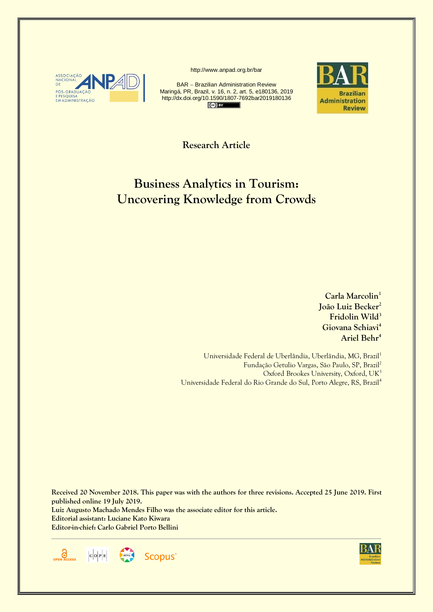

http://www.anpad.org.br/bar

BAR – Brazilian Administration Review Maringá, PR, Brazil, v. 16, n. 2, art. 5, e180136, 2019 http://dx.doi.org/10.1590/1807-7692bar2019180136  $\left($   $\mathbf{F}$   $\mathbf{F}$ 



**Research Article**

# **Business Analytics in Tourism: Uncovering Knowledge from Crowds**

**Carla Marcolin<sup>1</sup> João Luiz Becker<sup>2</sup> Fridolin Wild<sup>3</sup> Giovana Schiavi<sup>4</sup> Ariel Behr<sup>4</sup>**

Universidade Federal de Uberlândia, Uberlândia, MG, Brazil<sup>1</sup> Fundação Getulio Vargas, São Paulo, SP, Brazil<sup>2</sup> Oxford Brookes University, Oxford, UK<sup>3</sup> Universidade Federal do Rio Grande do Sul, Porto Alegre, RS, Brazil<sup>4</sup>

**Received 20 November 2018. This paper was with the authors for three revisions. Accepted 25 June 2019. First published online 19 July 2019. Luiz Augusto Machado Mendes Filho was the associate editor for this article. Editorial assistant: Luciane Kato Kiwara Editor-in-chief: Carlo Gabriel Porto Bellini**



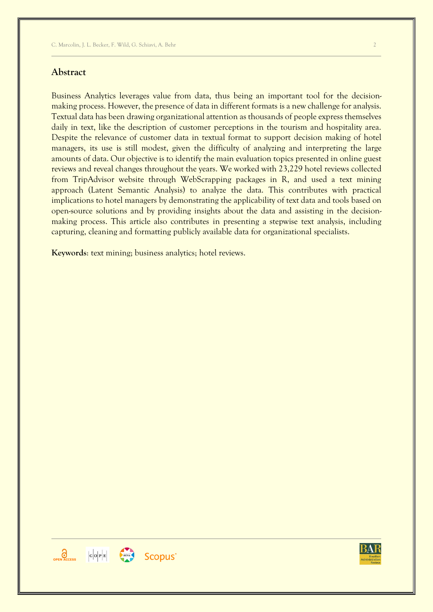### **Abstract**

Business Analytics leverages value from data, thus being an important tool for the decisionmaking process. However, the presence of data in different formats is a new challenge for analysis. Textual data has been drawing organizational attention as thousands of people express themselves daily in text, like the description of customer perceptions in the tourism and hospitality area. Despite the relevance of customer data in textual format to support decision making of hotel managers, its use is still modest, given the difficulty of analyzing and interpreting the large amounts of data. Our objective is to identify the main evaluation topics presented in online guest reviews and reveal changes throughout the years. We worked with 23,229 hotel reviews collected

from TripAdvisor website through WebScrapping packages in R, and used a text mining approach (Latent Semantic Analysis) to analyze the data. This contributes with practical implications to hotel managers by demonstrating the applicability of text data and tools based on open-source solutions and by providing insights about the data and assisting in the decisionmaking process. This article also contributes in presenting a stepwise text analysis, including capturing, cleaning and formatting publicly available data for organizational specialists.

**Keywords**: text mining; business analytics; hotel reviews.



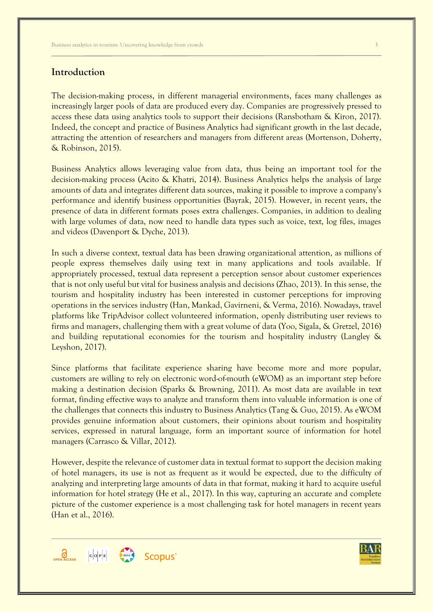# **Introduction**

The decision-making process, in different managerial environments, faces many challenges as increasingly larger pools of data are produced every day. Companies are progressively pressed to access these data using analytics tools to support their decisions (Ransbotham & Kiron, 2017). Indeed, the concept and practice of Business Analytics had significant growth in the last decade, attracting the attention of researchers and managers from different areas (Mortenson, Doherty, & Robinson, 2015).

Business Analytics allows leveraging value from data, thus being an important tool for the decision-making process (Acito & Khatri, 2014). Business Analytics helps the analysis of large amounts of data and integrates different data sources, making it possible to improve a company's performance and identify business opportunities (Bayrak, 2015). However, in recent years, the presence of data in different formats poses extra challenges. Companies, in addition to dealing with large volumes of data, now need to handle data types such as voice, text, log files, images and videos (Davenport & Dyche, 2013).

In such a diverse context, textual data has been drawing organizational attention, as millions of people express themselves daily using text in many applications and tools available. If appropriately processed, textual data represent a perception sensor about customer experiences that is not only useful but vital for business analysis and decisions (Zhao, 2013). In this sense, the tourism and hospitality industry has been interested in customer perceptions for improving operations in the services industry (Han, Mankad, Gavirneni, & Verma, 2016). Nowadays, travel platforms like TripAdvisor collect volunteered information, openly distributing user reviews to firms and managers, challenging them with a great volume of data (Yoo, Sigala, & Gretzel, 2016) and building reputational economies for the tourism and hospitality industry (Langley & Leyshon, 2017).

Since platforms that facilitate experience sharing have become more and more popular, customers are willing to rely on electronic word-of-mouth (eWOM) as an important step before making a destination decision (Sparks & Browning, 2011). As most data are available in text format, finding effective ways to analyze and transform them into valuable information is one of the challenges that connects this industry to Business Analytics (Tang & Guo, 2015). As eWOM provides genuine information about customers, their opinions about tourism and hospitality services, expressed in natural language, form an important source of information for hotel managers (Carrasco & Villar, 2012).

However, despite the relevance of customer data in textual format to support the decision making of hotel managers, its use is not as frequent as it would be expected, due to the difficulty of analyzing and interpreting large amounts of data in that format, making it hard to acquire useful information for hotel strategy (He et al., 2017). In this way, capturing an accurate and complete picture of the customer experience is a most challenging task for hotel managers in recent years (Han et al., 2016).



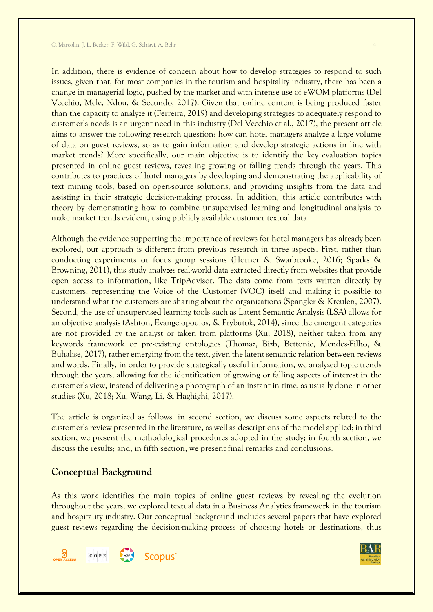In addition, there is evidence of concern about how to develop strategies to respond to such issues, given that, for most companies in the tourism and hospitality industry, there has been a change in managerial logic, pushed by the market and with intense use of eWOM platforms (Del Vecchio, Mele, Ndou, & Secundo, 2017). Given that online content is being produced faster than the capacity to analyze it (Ferreira, 2019) and developing strategies to adequately respond to customer's needs is an urgent need in this industry (Del Vecchio et al., 2017), the present article aims to answer the following research question: how can hotel managers analyze a large volume of data on guest reviews, so as to gain information and develop strategic actions in line with market trends? More specifically, our main objective is to identify the key evaluation topics presented in online guest reviews, revealing growing or falling trends through the years. This contributes to practices of hotel managers by developing and demonstrating the applicability of text mining tools, based on open-source solutions, and providing insights from the data and assisting in their strategic decision-making process. In addition, this article contributes with theory by demonstrating how to combine unsupervised learning and longitudinal analysis to make market trends evident, using publicly available customer textual data.

Although the evidence supporting the importance of reviews for hotel managers has already been explored, our approach is different from previous research in three aspects. First, rather than conducting experiments or focus group sessions (Horner & Swarbrooke, 2016; Sparks & Browning, 2011), this study analyzes real-world data extracted directly from websites that provide open access to information, like TripAdvisor. The data come from texts written directly by customers, representing the Voice of the Customer (VOC) itself and making it possible to understand what the customers are sharing about the organizations (Spangler & Kreulen, 2007). Second, the use of unsupervised learning tools such as Latent Semantic Analysis (LSA) allows for an objective analysis (Ashton, Evangelopoulos, & Prybutok, 2014), since the emergent categories are not provided by the analyst or taken from platforms (Xu, 2018), neither taken from any keywords framework or pre-existing ontologies (Thomaz, Bizb, Bettonic, Mendes-Filho, & Buhalise, 2017), rather emerging from the text, given the latent semantic relation between reviews and words. Finally, in order to provide strategically useful information, we analyzed topic trends through the years, allowing for the identification of growing or falling aspects of interest in the customer's view, instead of delivering a photograph of an instant in time, as usually done in other studies (Xu, 2018; Xu, Wang, Li, & Haghighi, 2017).

The article is organized as follows: in second section, we discuss some aspects related to the customer's review presented in the literature, as well as descriptions of the model applied; in third section, we present the methodological procedures adopted in the study; in fourth section, we discuss the results; and, in fifth section, we present final remarks and conclusions.

# **Conceptual Background**

As this work identifies the main topics of online guest reviews by revealing the evolution throughout the years, we explored textual data in a Business Analytics framework in the tourism and hospitality industry. Our conceptual background includes several papers that have explored guest reviews regarding the decision-making process of choosing hotels or destinations, thus



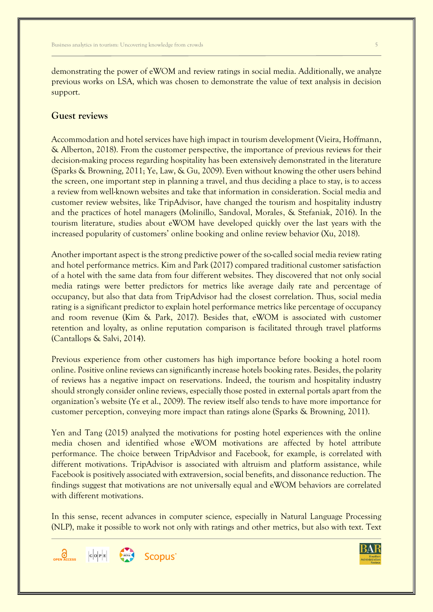demonstrating the power of eWOM and review ratings in social media. Additionally, we analyze previous works on LSA, which was chosen to demonstrate the value of text analysis in decision support.

### **Guest reviews**

Accommodation and hotel services have high impact in tourism development (Vieira, Hoffmann, & Alberton, 2018). From the customer perspective, the importance of previous reviews for their decision-making process regarding hospitality has been extensively demonstrated in the literature (Sparks & Browning, 2011; Ye, Law, & Gu, 2009). Even without knowing the other users behind the screen, one important step in planning a travel, and thus deciding a place to stay, is to access a review from well-known websites and take that information in consideration. Social media and customer review websites, like TripAdvisor, have changed the tourism and hospitality industry and the practices of hotel managers (Molinillo, Sandoval, Morales, & Stefaniak, 2016). In the tourism literature, studies about eWOM have developed quickly over the last years with the increased popularity of customers' online booking and online review behavior (Xu, 2018).

Another important aspect is the strong predictive power of the so-called social media review rating and hotel performance metrics. Kim and Park (2017) compared traditional customer satisfaction of a hotel with the same data from four different websites. They discovered that not only social media ratings were better predictors for metrics like average daily rate and percentage of occupancy, but also that data from TripAdvisor had the closest correlation. Thus, social media rating is a significant predictor to explain hotel performance metrics like percentage of occupancy and room revenue (Kim & Park, 2017). Besides that, eWOM is associated with customer retention and loyalty, as online reputation comparison is facilitated through travel platforms (Cantallops & Salvi, 2014).

Previous experience from other customers has high importance before booking a hotel room online. Positive online reviews can significantly increase hotels booking rates. Besides, the polarity of reviews has a negative impact on reservations. Indeed, the tourism and hospitality industry should strongly consider online reviews, especially those posted in external portals apart from the organization's website (Ye et al., 2009). The review itself also tends to have more importance for customer perception, conveying more impact than ratings alone (Sparks & Browning, 2011).

Yen and Tang (2015) analyzed the motivations for posting hotel experiences with the online media chosen and identified whose eWOM motivations are affected by hotel attribute performance. The choice between TripAdvisor and Facebook, for example, is correlated with different motivations. TripAdvisor is associated with altruism and platform assistance, while Facebook is positively associated with extraversion, social benefits, and dissonance reduction. The findings suggest that motivations are not universally equal and eWOM behaviors are correlated with different motivations.

In this sense, recent advances in computer science, especially in Natural Language Processing (NLP), make it possible to work not only with ratings and other metrics, but also with text. Text



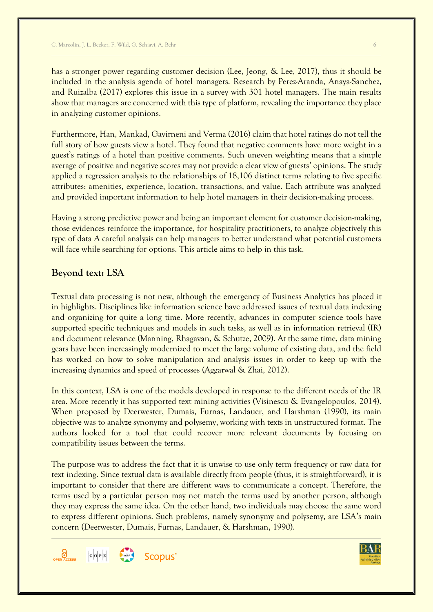has a stronger power regarding customer decision (Lee, Jeong, & Lee, 2017), thus it should be included in the analysis agenda of hotel managers. Research by Perez-Aranda, Anaya-Sanchez, and Ruizalba (2017) explores this issue in a survey with 301 hotel managers. The main results show that managers are concerned with this type of platform, revealing the importance they place in analyzing customer opinions.

Furthermore, Han, Mankad, Gavirneni and Verma (2016) claim that hotel ratings do not tell the full story of how guests view a hotel. They found that negative comments have more weight in a guest's ratings of a hotel than positive comments. Such uneven weighting means that a simple average of positive and negative scores may not provide a clear view of guests' opinions. The study applied a regression analysis to the relationships of 18,106 distinct terms relating to five specific attributes: amenities, experience, location, transactions, and value. Each attribute was analyzed and provided important information to help hotel managers in their decision-making process.

Having a strong predictive power and being an important element for customer decision-making, those evidences reinforce the importance, for hospitality practitioners, to analyze objectively this type of data A careful analysis can help managers to better understand what potential customers will face while searching for options. This article aims to help in this task.

# **Beyond text: LSA**

Textual data processing is not new, although the emergency of Business Analytics has placed it in highlights. Disciplines like information science have addressed issues of textual data indexing and organizing for quite a long time. More recently, advances in computer science tools have supported specific techniques and models in such tasks, as well as in information retrieval (IR) and document relevance (Manning, Rhagavan, & Schutze, 2009). At the same time, data mining gears have been increasingly modernized to meet the large volume of existing data, and the field has worked on how to solve manipulation and analysis issues in order to keep up with the increasing dynamics and speed of processes (Aggarwal & Zhai, 2012).

In this context, LSA is one of the models developed in response to the different needs of the IR area. More recently it has supported text mining activities (Visinescu & Evangelopoulos, 2014). When proposed by Deerwester, Dumais, Furnas, Landauer, and Harshman (1990), its main objective was to analyze synonymy and polysemy, working with texts in unstructured format. The authors looked for a tool that could recover more relevant documents by focusing on compatibility issues between the terms.

The purpose was to address the fact that it is unwise to use only term frequency or raw data for text indexing. Since textual data is available directly from people (thus, it is straightforward), it is important to consider that there are different ways to communicate a concept. Therefore, the terms used by a particular person may not match the terms used by another person, although they may express the same idea. On the other hand, two individuals may choose the same word to express different opinions. Such problems, namely synonymy and polysemy, are LSA's main concern (Deerwester, Dumais, Furnas, Landauer, & Harshman, 1990).



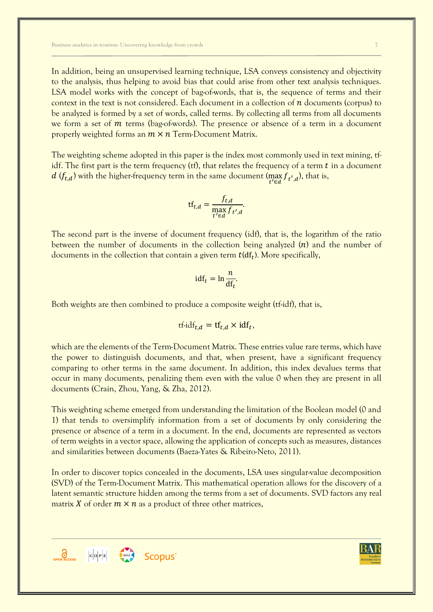Business analytics in tourism: Uncovering knowledge from crowds 7

In addition, being an unsupervised learning technique, LSA conveys consistency and objectivity to the analysis, thus helping to avoid bias that could arise from other text analysis techniques. LSA model works with the concept of bag-of-words, that is, the sequence of terms and their context in the text is not considered. Each document in a collection of  $n$  documents (corpus) to be analyzed is formed by a set of words, called terms. By collecting all terms from all documents we form a set of  *terms (bag-of-words). The presence or absence of a term in a document* properly weighted forms an  $m \times n$  Term-Document Matrix.

The weighting scheme adopted in this paper is the index most commonly used in text mining, tfidf. The first part is the term frequency (tf), that relates the frequency of a term  $t$  in a document d ( $f_{t,d}$ ) with the higher-frequency term in the same document ( $\max_{t' \in d} f_{t',d}$ ), that is,

$$
\mathrm{tf}_{t,d} = \frac{f_{t,d}}{\max_{t' \in d} f_{t',d}}.
$$

The second part is the inverse of document frequency (idf), that is, the logarithm of the ratio between the number of documents in the collection being analyzed  $(n)$  and the number of documents in the collection that contain a given term  $t(df_t)$ . More specifically,

$$
\mathrm{id}\mathbf{f}_t = \ln \frac{n}{\mathrm{d}\mathbf{f}_t}.
$$

Both weights are then combined to produce a composite weight (tf-idf), that is,

$$
tf\text{-}idf_{t,d} = tf_{t,d} \times idf_t,
$$

which are the elements of the Term-Document Matrix. These entries value rare terms, which have the power to distinguish documents, and that, when present, have a significant frequency comparing to other terms in the same document. In addition, this index devalues terms that occur in many documents, penalizing them even with the value 0 when they are present in all documents (Crain, Zhou, Yang, & Zha, 2012).

This weighting scheme emerged from understanding the limitation of the Boolean model (0 and 1) that tends to oversimplify information from a set of documents by only considering the presence or absence of a term in a document. In the end, documents are represented as vectors of term weights in a vector space, allowing the application of concepts such as measures, distances and similarities between documents (Baeza-Yates & Ribeiro-Neto, 2011).

In order to discover topics concealed in the documents, LSA uses singular-value decomposition (SVD) of the Term-Document Matrix. This mathematical operation allows for the discovery of a latent semantic structure hidden among the terms from a set of documents. SVD factors any real matrix X of order  $m \times n$  as a product of three other matrices,



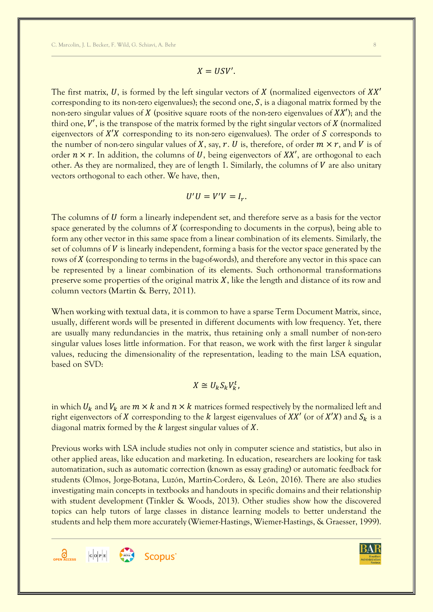$$
X=USV'.
$$

The first matrix, U, is formed by the left singular vectors of  $X$  (normalized eigenvectors of  $XX'$ corresponding to its non-zero eigenvalues); the second one,  $S$ , is a diagonal matrix formed by the non-zero singular values of  $X$  (positive square roots of the non-zero eigenvalues of  $XX'$ ); and the third one,  $V'$ , is the transpose of the matrix formed by the right singular vectors of  $X$  (normalized eigenvectors of  $X'X$  corresponding to its non-zero eigenvalues). The order of S corresponds to the number of non-zero singular values of X, say, r. U is, therefore, of order  $m \times r$ , and V is of order  $n \times r$ . In addition, the columns of U, being eigenvectors of XX', are orthogonal to each other. As they are normalized, they are of length 1. Similarly, the columns of  $V$  are also unitary vectors orthogonal to each other. We have, then,

$$
U'U = V'V = I_r.
$$

The columns of  $U$  form a linearly independent set, and therefore serve as a basis for the vector space generated by the columns of  $X$  (corresponding to documents in the corpus), being able to form any other vector in this same space from a linear combination of its elements. Similarly, the set of columns of  $V$  is linearly independent, forming a basis for the vector space generated by the rows of X (corresponding to terms in the bag-of-words), and therefore any vector in this space can be represented by a linear combination of its elements. Such orthonormal transformations preserve some properties of the original matrix  $X$ , like the length and distance of its row and column vectors (Martin & Berry, 2011).

When working with textual data, it is common to have a sparse Term Document Matrix, since, usually, different words will be presented in different documents with low frequency. Yet, there are usually many redundancies in the matrix, thus retaining only a small number of non-zero singular values loses little information. For that reason, we work with the first larger *k* singular values, reducing the dimensionality of the representation, leading to the main LSA equation, based on SVD:

$$
X \cong U_k S_k V_k^t,
$$

in which  $U_k$  and  $V_k$  are  $m \times k$  and  $n \times k$  matrices formed respectively by the normalized left and right eigenvectors of X corresponding to the k largest eigenvalues of XX' (or of X'X) and  $S_k$  is a diagonal matrix formed by the  $k$  largest singular values of  $X$ .

Previous works with LSA include studies not only in computer science and statistics, but also in other applied areas, like education and marketing. In education, researchers are looking for task automatization, such as automatic correction (known as essay grading) or automatic feedback for students (Olmos, Jorge-Botana, Luzón, Martín-Cordero, & León, 2016). There are also studies investigating main concepts in textbooks and handouts in specific domains and their relationship with student development (Tinkler & Woods, 2013). Other studies show how the discovered topics can help tutors of large classes in distance learning models to better understand the students and help them more accurately (Wiemer-Hastings, Wiemer-Hastings, & Graesser, 1999).



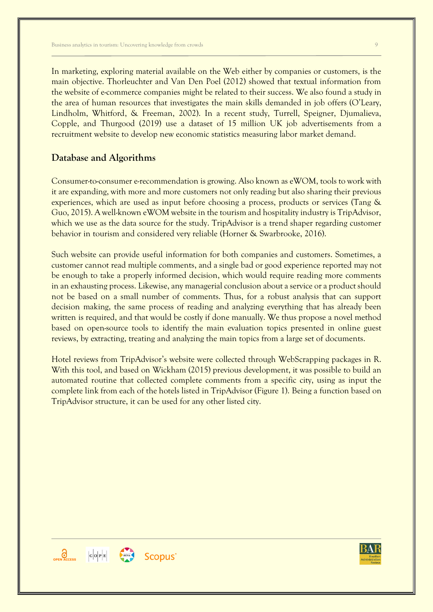In marketing, exploring material available on the Web either by companies or customers, is the main objective. Thorleuchter and Van Den Poel (2012) showed that textual information from the website of e-commerce companies might be related to their success. We also found a study in the area of human resources that investigates the main skills demanded in job offers (O'Leary, Lindholm, Whitford, & Freeman, 2002). In a recent study, Turrell, Speigner, Djumalieva, Copple, and Thurgood (2019) use a dataset of 15 million UK job advertisements from a recruitment website to develop new economic statistics measuring labor market demand.

### **Database and Algorithms**

Consumer-to-consumer e-recommendation is growing. Also known as eWOM, tools to work with it are expanding, with more and more customers not only reading but also sharing their previous experiences, which are used as input before choosing a process, products or services (Tang & Guo, 2015). A well-known eWOM website in the tourism and hospitality industry is TripAdvisor, which we use as the data source for the study. TripAdvisor is a trend shaper regarding customer behavior in tourism and considered very reliable (Horner & Swarbrooke, 2016).

Such website can provide useful information for both companies and customers. Sometimes, a customer cannot read multiple comments, and a single bad or good experience reported may not be enough to take a properly informed decision, which would require reading more comments in an exhausting process. Likewise, any managerial conclusion about a service or a product should not be based on a small number of comments. Thus, for a robust analysis that can support decision making, the same process of reading and analyzing everything that has already been written is required, and that would be costly if done manually. We thus propose a novel method based on open-source tools to identify the main evaluation topics presented in online guest reviews, by extracting, treating and analyzing the main topics from a large set of documents.

Hotel reviews from TripAdvisor's website were collected through WebScrapping packages in R. With this tool, and based on Wickham (2015) previous development, it was possible to build an automated routine that collected complete comments from a specific city, using as input the complete link from each of the hotels listed in TripAdvisor (Figure 1). Being a function based on TripAdvisor structure, it can be used for any other listed city.





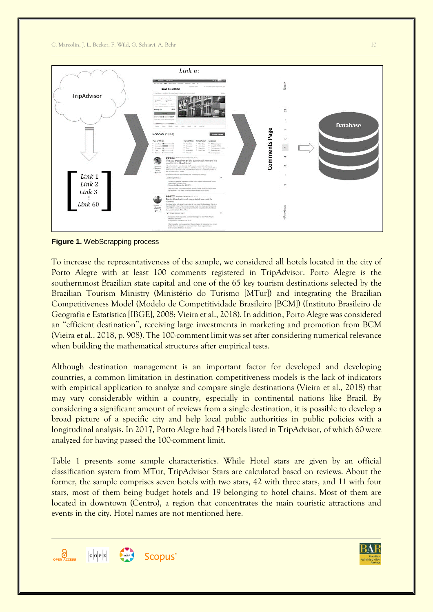C. Marcolin, J. L. Becker, F. Wild, G. Schiavi, A. Behr 10



**Figure 1.** WebScrapping process

To increase the representativeness of the sample, we considered all hotels located in the city of Porto Alegre with at least 100 comments registered in TripAdvisor. Porto Alegre is the southernmost Brazilian state capital and one of the 65 key tourism destinations selected by the Brazilian Tourism Ministry (Ministério do Turismo [MTur]) and integrating the Brazilian Competitiveness Model (Modelo de Competitividade Brasileiro [BCM]) (Instituto Brasileiro de Geografia e Estatística [IBGE], 2008; Vieira et al., 2018). In addition, Porto Alegre was considered an "efficient destination", receiving large investments in marketing and promotion from BCM (Vieira et al., 2018, p. 908). The 100-comment limit was set after considering numerical relevance when building the mathematical structures after empirical tests.

Although destination management is an important factor for developed and developing countries, a common limitation in destination competitiveness models is the lack of indicators with empirical application to analyze and compare single destinations (Vieira et al., 2018) that may vary considerably within a country, especially in continental nations like Brazil. By considering a significant amount of reviews from a single destination, it is possible to develop a broad picture of a specific city and help local public authorities in public policies with a longitudinal analysis. In 2017, Porto Alegre had 74 hotels listed in TripAdvisor, of which 60 were analyzed for having passed the 100-comment limit.

Table 1 presents some sample characteristics. While Hotel stars are given by an official classification system from MTur, TripAdvisor Stars are calculated based on reviews. About the former, the sample comprises seven hotels with two stars, 42 with three stars, and 11 with four stars, most of them being budget hotels and 19 belonging to hotel chains. Most of them are located in downtown (Centro), a region that concentrates the main touristic attractions and events in the city. Hotel names are not mentioned here.



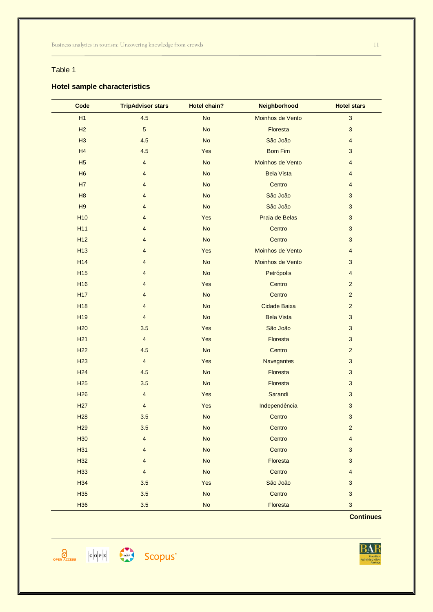### Table 1

### **Hotel sample characteristics**

| Code            | <b>TripAdvisor stars</b> | <b>Hotel chain?</b> | Neighborhood        | <b>Hotel stars</b>        |
|-----------------|--------------------------|---------------------|---------------------|---------------------------|
| H1              | 4.5                      | <b>No</b>           | Moinhos de Vento    | $\sqrt{3}$                |
| H2              | $\overline{5}$           | <b>No</b>           | Floresta            | $\mathbf{3}$              |
| H3              | 4.5                      | <b>No</b>           | São João            | $\overline{4}$            |
| H4              | 4.5                      | Yes                 | <b>Bom Fim</b>      | $\mathbf{3}$              |
| H <sub>5</sub>  | $\overline{4}$           | <b>No</b>           | Moinhos de Vento    | $\overline{4}$            |
| H <sub>6</sub>  | $\overline{4}$           | <b>No</b>           | <b>Bela Vista</b>   | $\overline{4}$            |
| <b>H7</b>       | $\overline{4}$           | <b>No</b>           | Centro              | $\overline{4}$            |
| H8              | $\overline{4}$           | <b>No</b>           | São João            | 3                         |
| H9              | $\overline{4}$           | <b>No</b>           | São João            | $\sqrt{3}$                |
| H <sub>10</sub> | $\overline{4}$           | Yes                 | Praia de Belas      | 3                         |
| H <sub>11</sub> | $\overline{4}$           | <b>No</b>           | Centro              | $\mathbf{3}$              |
| H <sub>12</sub> | $\overline{4}$           | <b>No</b>           | Centro              | 3                         |
| H <sub>13</sub> | $\overline{4}$           | Yes                 | Moinhos de Vento    | $\overline{4}$            |
| H <sub>14</sub> | $\overline{4}$           | <b>No</b>           | Moinhos de Vento    | 3                         |
| H <sub>15</sub> | $\overline{4}$           | <b>No</b>           | Petrópolis          | $\overline{4}$            |
| H <sub>16</sub> | $\overline{4}$           | Yes                 | Centro              | $\overline{2}$            |
| <b>H17</b>      | $\overline{4}$           | <b>No</b>           | Centro              | $\overline{2}$            |
| <b>H18</b>      | $\overline{4}$           | <b>No</b>           | <b>Cidade Baixa</b> | $\sqrt{2}$                |
| H <sub>19</sub> | $\overline{4}$           | <b>No</b>           | <b>Bela Vista</b>   | $\sqrt{3}$                |
| <b>H20</b>      | 3.5                      | Yes                 | São João            | $\sqrt{3}$                |
| <b>H21</b>      | $\overline{4}$           | Yes                 | Floresta            | 3                         |
| <b>H22</b>      | 4.5                      | <b>No</b>           | Centro              | $\overline{2}$            |
| H <sub>23</sub> | $\overline{4}$           | Yes                 | Navegantes          | 3                         |
| <b>H24</b>      | 4.5                      | <b>No</b>           | Floresta            | 3                         |
| <b>H25</b>      | 3.5                      | <b>No</b>           | Floresta            | 3                         |
| <b>H26</b>      | $\overline{\mathbf{4}}$  | Yes                 | Sarandi             | $\mathbf{3}$              |
| <b>H27</b>      | $\overline{4}$           | Yes                 | Independência       | $\sqrt{3}$                |
| <b>H28</b>      | 3.5                      | <b>No</b>           | Centro              | $\mathbf{3}$              |
| H <sub>29</sub> | 3.5                      | <b>No</b>           | Centro              | $\overline{2}$            |
| H <sub>30</sub> | $\overline{\mathbf{4}}$  | <b>No</b>           | Centro              | $\overline{\mathbf{4}}$   |
| H31             | $\overline{4}$           | No                  | Centro              | $\sqrt{3}$                |
| H <sub>32</sub> | $\overline{4}$           | <b>No</b>           | Floresta            | $\sqrt{3}$                |
| H33             | $\overline{4}$           | <b>No</b>           | Centro              | $\overline{4}$            |
| H <sub>34</sub> | 3.5                      | Yes                 | São João            | $\sqrt{3}$                |
| H <sub>35</sub> | 3.5                      | <b>No</b>           | Centro              | $\mathbf{3}$              |
| H <sub>36</sub> | 3.5                      | No                  | Floresta            | $\ensuremath{\mathsf{3}}$ |

**Continues**





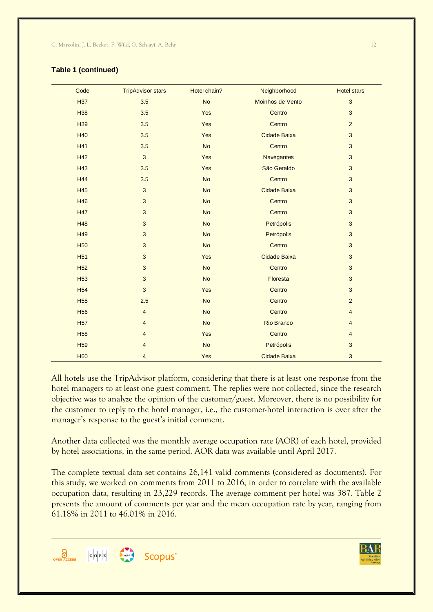| Code            | <b>TripAdvisor stars</b> | Hotel chain? | Neighborhood        | <b>Hotel stars</b> |
|-----------------|--------------------------|--------------|---------------------|--------------------|
| <b>H37</b>      | 3.5                      | <b>No</b>    | Moinhos de Vento    | 3                  |
| H <sub>38</sub> | 3.5                      | Yes          | Centro              | 3                  |
| H <sub>39</sub> | 3.5                      | Yes          | Centro              | $\overline{2}$     |
| <b>H40</b>      | 3.5                      | Yes          | <b>Cidade Baixa</b> | $\sqrt{3}$         |
| H41             | 3.5                      | <b>No</b>    | Centro              | $\mathbf{3}$       |
| H42             | 3                        | Yes          | Navegantes          | 3                  |
| H43             | 3.5                      | Yes          | São Geraldo         | $\sqrt{3}$         |
| <b>H44</b>      | 3.5                      | <b>No</b>    | Centro              | 3                  |
| <b>H45</b>      | $\mathbf{3}$             | <b>No</b>    | Cidade Baixa        | 3                  |
| <b>H46</b>      | 3                        | <b>No</b>    | Centro              | 3                  |
| <b>H47</b>      | 3                        | <b>No</b>    | Centro              | $\mathbf{3}$       |
| <b>H48</b>      | 3                        | <b>No</b>    | Petrópolis          | $\sqrt{3}$         |
| H49             | 3                        | <b>No</b>    | Petrópolis          | $\sqrt{3}$         |
| <b>H50</b>      | $\mathbf{3}$             | <b>No</b>    | Centro              | $\mathbf{3}$       |
| <b>H51</b>      | 3                        | Yes          | <b>Cidade Baixa</b> | $\sqrt{3}$         |
| <b>H52</b>      | 3                        | <b>No</b>    | Centro              | $\sqrt{3}$         |
| <b>H53</b>      | 3                        | <b>No</b>    | Floresta            | $\mathbf{3}$       |
| <b>H54</b>      | 3                        | Yes          | Centro              | $\sqrt{3}$         |
| <b>H55</b>      | 2.5                      | <b>No</b>    | Centro              | $\mathbf 2$        |
| <b>H56</b>      | $\overline{4}$           | <b>No</b>    | Centro              | $\overline{4}$     |
| <b>H57</b>      | $\overline{4}$           | <b>No</b>    | <b>Rio Branco</b>   | $\overline{4}$     |
| <b>H58</b>      | $\overline{4}$           | Yes          | Centro              | $\overline{4}$     |
| H <sub>59</sub> | 4                        | <b>No</b>    | Petrópolis          | 3                  |
| <b>H60</b>      | $\overline{4}$           | Yes          | <b>Cidade Baixa</b> | $\sqrt{3}$         |

### **Table 1 (continued)**

All hotels use the TripAdvisor platform, considering that there is at least one response from the hotel managers to at least one guest comment. The replies were not collected, since the research objective was to analyze the opinion of the customer/guest. Moreover, there is no possibility for the customer to reply to the hotel manager, i.e., the customer-hotel interaction is over after the manager's response to the guest's initial comment.

Another data collected was the monthly average occupation rate (AOR) of each hotel, provided by hotel associations, in the same period. AOR data was available until April 2017.

The complete textual data set contains 26,141 valid comments (considered as documents). For this study, we worked on comments from 2011 to 2016, in order to correlate with the available occupation data, resulting in 23,229 records. The average comment per hotel was 387. Table 2 presents the amount of comments per year and the mean occupation rate by year, ranging from 61.18% in 2011 to 46.01% in 2016.



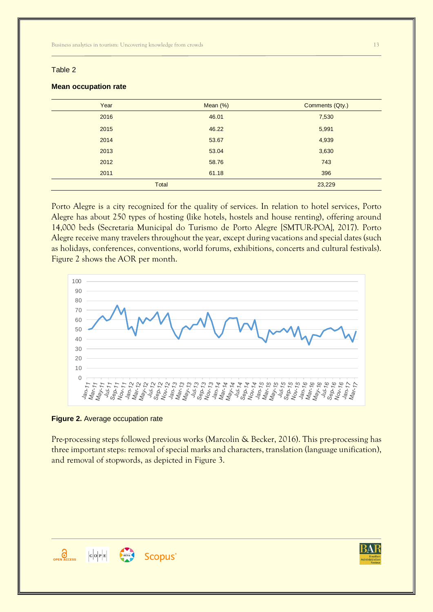### Table 2

| Year         | Mean (%) | Comments (Qty.) |
|--------------|----------|-----------------|
| 2016         | 46.01    | 7,530           |
| 2015         | 46.22    | 5,991           |
| 2014         | 53.67    | 4,939           |
| 2013         | 53.04    | 3,630           |
| 2012         | 58.76    | 743             |
| 2011         | 61.18    | 396             |
| <b>Total</b> |          | 23,229          |

#### **Mean occupation rate**

Porto Alegre is a city recognized for the quality of services. In relation to hotel services, Porto Alegre has about 250 types of hosting (like hotels, hostels and house renting), offering around 14,000 beds (Secretaria Municipal do Turismo de Porto Alegre [SMTUR-POA], 2017). Porto Alegre receive many travelers throughout the year, except during vacations and special dates (such as holidays, conferences, conventions, world forums, exhibitions, concerts and cultural festivals). Figure 2 shows the AOR per month.



### **Figure 2.** Average occupation rate

Pre-processing steps followed previous works (Marcolin & Becker, 2016). This pre-processing has three important steps: removal of special marks and characters, translation (language unification), and removal of stopwords, as depicted in Figure 3.



Scopus<sup>®</sup>

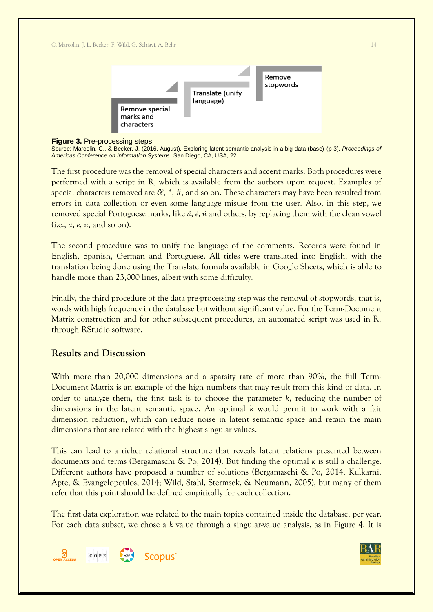

### **Figure 3.** Pre-processing steps

Source: Marcolin, C., & Becker, J. (2016, August). Exploring latent semantic analysis in a big data (base) (p 3). *Proceedings of Americas Conference on Information Systems*, San Diego, CA, USA, 22.

The first procedure was the removal of special characters and accent marks. Both procedures were performed with a script in R, which is available from the authors upon request. Examples of special characters removed are *&*, *\**, *#*, and so on. These characters may have been resulted from errors in data collection or even some language misuse from the user. Also, in this step, we removed special Portuguese marks, like *á*, *é*, *ü* and others, by replacing them with the clean vowel (i.e., *a*, *e*, *u*, and so on).

The second procedure was to unify the language of the comments. Records were found in English, Spanish, German and Portuguese. All titles were translated into English, with the translation being done using the Translate formula available in Google Sheets, which is able to handle more than 23,000 lines, albeit with some difficulty.

Finally, the third procedure of the data pre-processing step was the removal of stopwords, that is, words with high frequency in the database but without significant value. For the Term-Document Matrix construction and for other subsequent procedures, an automated script was used in R, through RStudio software.

## **Results and Discussion**

With more than 20,000 dimensions and a sparsity rate of more than 90%, the full Term-Document Matrix is an example of the high numbers that may result from this kind of data. In order to analyze them, the first task is to choose the parameter *k*, reducing the number of dimensions in the latent semantic space. An optimal *k* would permit to work with a fair dimension reduction, which can reduce noise in latent semantic space and retain the main dimensions that are related with the highest singular values.

This can lead to a richer relational structure that reveals latent relations presented between documents and terms (Bergamaschi & Po, 2014). But finding the optimal *k* is still a challenge. Different authors have proposed a number of solutions (Bergamaschi & Po, 2014; Kulkarni, Apte, & Evangelopoulos, 2014; Wild, Stahl, Stermsek, & Neumann, 2005), but many of them refer that this point should be defined empirically for each collection.

The first data exploration was related to the main topics contained inside the database, per year. For each data subset, we chose a *k* value through a singular-value analysis, as in Figure 4. It is



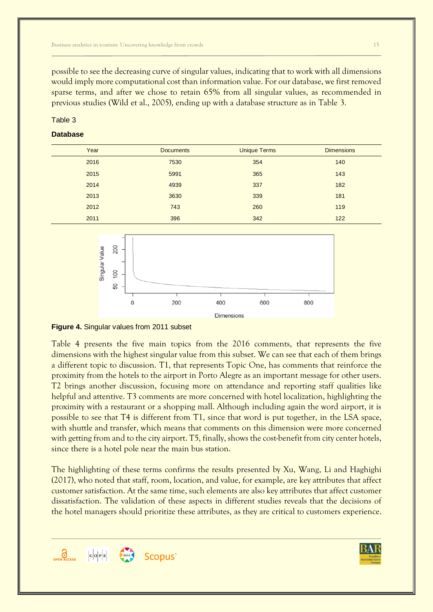possible to see the decreasing curve of singular values, indicating that to work with all dimensions would imply more computational cost than information value. For our database, we first removed sparse terms, and after we chose to retain 65% from all singular values, as recommended in previous studies (Wild et al., 2005), ending up with a database structure as in Table 3.

### Table 3

### **Database**

| Year | <b>Documents</b> | <b>Unique Terms</b> | <b>Dimensions</b> |
|------|------------------|---------------------|-------------------|
| 2016 | 7530             | 354                 | 140               |
| 2015 | 5991             | 365                 | 143               |
| 2014 | 4939             | 337                 | 182               |
| 2013 | 3630             | 339                 | 181               |
| 2012 | 743              | 260                 | 119               |
| 2011 | 396              | 342                 | 122               |



**Figure 4.** Singular values from 2011 subset

Table 4 presents the five main topics from the 2016 comments, that represents the five dimensions with the highest singular value from this subset. We can see that each of them brings a different topic to discussion. T1, that represents Topic One, has comments that reinforce the proximity from the hotels to the airport in Porto Alegre as an important message for other users. T2 brings another discussion, focusing more on attendance and reporting staff qualities like helpful and attentive. T3 comments are more concerned with hotel localization, highlighting the proximity with a restaurant or a shopping mall. Although including again the word airport, it is possible to see that T4 is different from T1, since that word is put together, in the LSA space, with shuttle and transfer, which means that comments on this dimension were more concerned with getting from and to the city airport. T5, finally, shows the cost-benefit from city center hotels, since there is a hotel pole near the main bus station.

The highlighting of these terms confirms the results presented by Xu, Wang, Li and Haghighi (2017), who noted that staff, room, location, and value, for example, are key attributes that affect customer satisfaction. At the same time, such elements are also key attributes that affect customer dissatisfaction. The validation of these aspects in different studies reveals that the decisions of the hotel managers should prioritize these attributes, as they are critical to customers experience.



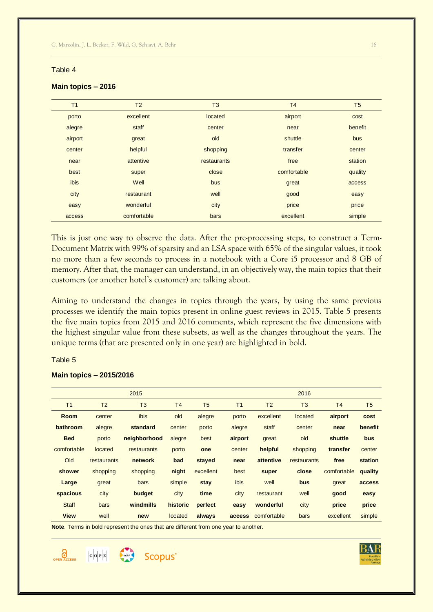### Table 4

| T <sub>1</sub> | T <sub>2</sub> | T <sub>3</sub> | T <sub>4</sub> | T <sub>5</sub> |
|----------------|----------------|----------------|----------------|----------------|
| porto          | excellent      | located        | airport        | cost           |
| alegre         | staff          | center         | near           | benefit        |
| airport        | great          | old            | shuttle        | bus            |
| center         | helpful        | shopping       | transfer       | center         |
| near           | attentive      | restaurants    | free           | station        |
| best           | super          | close          | comfortable    | quality        |
| ibis           | Well           | bus            | great          | access         |
| city           | restaurant     | well           | good           | easy           |
| easy           | wonderful      | city           | price          | price          |
| access         | comfortable    | bars           | excellent      | simple         |
|                |                |                |                |                |

#### **Main topics – 2016**

This is just one way to observe the data. After the pre-processing steps, to construct a Term-Document Matrix with 99% of sparsity and an LSA space with 65% of the singular values, it took no more than a few seconds to process in a notebook with a Core i5 processor and 8 GB of memory. After that, the manager can understand, in an objectively way, the main topics that their customers (or another hotel's customer) are talking about.

Aiming to understand the changes in topics through the years, by using the same previous processes we identify the main topics present in online guest reviews in 2015. Table 5 presents the five main topics from 2015 and 2016 comments, which represent the five dimensions with the highest singular value from these subsets, as well as the changes throughout the years. The unique terms (that are presented only in one year) are highlighted in bold.

#### Table 5

|                |                | 2015           |                |                |                |                | 2016           |                |         |
|----------------|----------------|----------------|----------------|----------------|----------------|----------------|----------------|----------------|---------|
| T <sub>1</sub> | T <sub>2</sub> | T <sub>3</sub> | T <sub>4</sub> | T <sub>5</sub> | T <sub>1</sub> | T <sub>2</sub> | T <sub>3</sub> | T <sub>4</sub> | T5      |
| <b>Room</b>    | center         | ibis           | old            | alegre         | porto          | excellent      | located        | airport        | cost    |
| bathroom       | alegre         | standard       | center         | porto          | alegre         | staff          | center         | near           | benefit |
| <b>Bed</b>     | porto          | neighborhood   | alegre         | best           | airport        | great          | old            | shuttle        | bus     |
| comfortable    | located        | restaurants    | porto          | one            | center         | helpful        | shopping       | transfer       | center  |
| Old            | restaurants    | network        | bad            | stayed         | near           | attentive      | restaurants    | free           | station |
| shower         | shopping       | shopping       | night          | excellent      | best           | super          | close          | comfortable    | quality |
| Large          | great          | bars           | simple         | stay           | ibis           | well           | bus            | great          | access  |
| spacious       | city           | budget         | city           | time           | city           | restaurant     | well           | good           | easy    |
| <b>Staff</b>   | bars           | windmills      | historic       | perfect        | easy           | wonderful      | city           | price          | price   |
| <b>View</b>    | well           | new            | located        | always         | access         | comfortable    | bars           | excellent      | simple  |

#### **Main topics – 2015/2016**

**Note**. Terms in bold represent the ones that are different from one year to another.

Scopus<sup>®</sup>





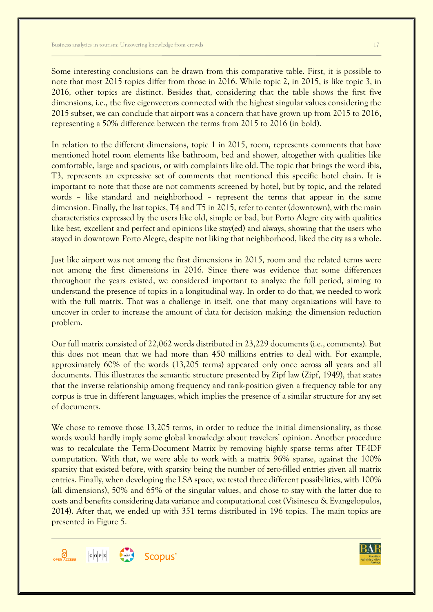Some interesting conclusions can be drawn from this comparative table. First, it is possible to note that most 2015 topics differ from those in 2016. While topic 2, in 2015, is like topic 3, in 2016, other topics are distinct. Besides that, considering that the table shows the first five dimensions, i.e., the five eigenvectors connected with the highest singular values considering the 2015 subset, we can conclude that airport was a concern that have grown up from 2015 to 2016, representing a 50% difference between the terms from 2015 to 2016 (in bold).

In relation to the different dimensions, topic 1 in 2015, room, represents comments that have mentioned hotel room elements like bathroom, bed and shower, altogether with qualities like comfortable, large and spacious, or with complaints like old. The topic that brings the word ibis, T3, represents an expressive set of comments that mentioned this specific hotel chain. It is important to note that those are not comments screened by hotel, but by topic, and the related words – like standard and neighborhood – represent the terms that appear in the same dimension. Finally, the last topics, T4 and T5 in 2015, refer to center (downtown), with the main characteristics expressed by the users like old, simple or bad, but Porto Alegre city with qualities like best, excellent and perfect and opinions like stay(ed) and always, showing that the users who stayed in downtown Porto Alegre, despite not liking that neighborhood, liked the city as a whole.

Just like airport was not among the first dimensions in 2015, room and the related terms were not among the first dimensions in 2016. Since there was evidence that some differences throughout the years existed, we considered important to analyze the full period, aiming to understand the presence of topics in a longitudinal way. In order to do that, we needed to work with the full matrix. That was a challenge in itself, one that many organizations will have to uncover in order to increase the amount of data for decision making: the dimension reduction problem.

Our full matrix consisted of 22,062 words distributed in 23,229 documents (i.e., comments). But this does not mean that we had more than 450 millions entries to deal with. For example, approximately 60% of the words (13,205 terms) appeared only once across all years and all documents. This illustrates the semantic structure presented by Zipf law (Zipf, 1949), that states that the inverse relationship among frequency and rank-position given a frequency table for any corpus is true in different languages, which implies the presence of a similar structure for any set of documents.

We chose to remove those 13,205 terms, in order to reduce the initial dimensionality, as those words would hardly imply some global knowledge about travelers' opinion. Another procedure was to recalculate the Term-Document Matrix by removing highly sparse terms after TF-IDF computation. With that, we were able to work with a matrix 96% sparse, against the 100% sparsity that existed before, with sparsity being the number of zero-filled entries given all matrix entries. Finally, when developing the LSA space, we tested three different possibilities, with 100% (all dimensions), 50% and 65% of the singular values, and chose to stay with the latter due to costs and benefits considering data variance and computational cost (Visinescu & Evangelopulos, 2014). After that, we ended up with 351 terms distributed in 196 topics. The main topics are presented in Figure 5.



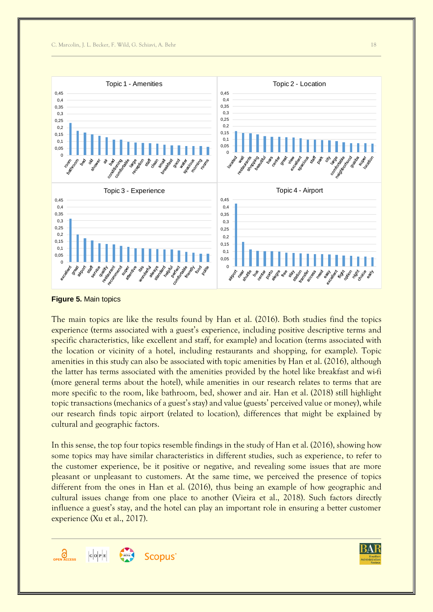

**Figure 5.** Main topics

The main topics are like the results found by Han et al. (2016). Both studies find the topics experience (terms associated with a guest's experience, including positive descriptive terms and specific characteristics, like excellent and staff, for example) and location (terms associated with the location or vicinity of a hotel, including restaurants and shopping, for example). Topic amenities in this study can also be associated with topic amenities by Han et al. (2016), although the latter has terms associated with the amenities provided by the hotel like breakfast and wi-fi (more general terms about the hotel), while amenities in our research relates to terms that are more specific to the room, like bathroom, bed, shower and air. Han et al. (2018) still highlight topic transactions (mechanics of a guest's stay) and value (guests' perceived value or money), while our research finds topic airport (related to location), differences that might be explained by cultural and geographic factors.

In this sense, the top four topics resemble findings in the study of Han et al. (2016), showing how some topics may have similar characteristics in different studies, such as experience, to refer to the customer experience, be it positive or negative, and revealing some issues that are more pleasant or unpleasant to customers. At the same time, we perceived the presence of topics different from the ones in Han et al. (2016), thus being an example of how geographic and cultural issues change from one place to another (Vieira et al., 2018). Such factors directly influence a guest's stay, and the hotel can play an important role in ensuring a better customer experience (Xu et al., 2017).



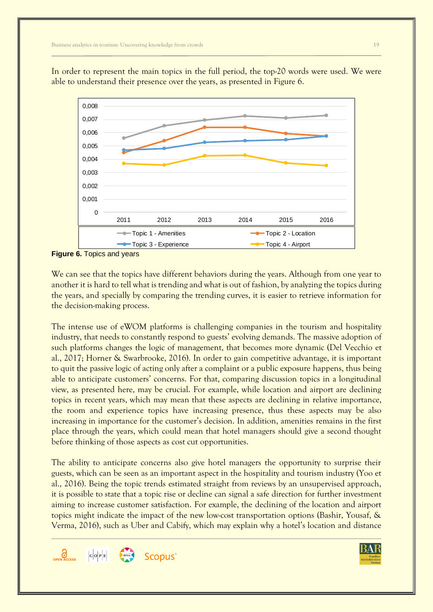In order to represent the main topics in the full period, the top-20 words were used. We were able to understand their presence over the years, as presented in Figure 6.



**Figure 6.** Topics and years

We can see that the topics have different behaviors during the years. Although from one year to another it is hard to tell what is trending and what is out of fashion, by analyzing the topics during the years, and specially by comparing the trending curves, it is easier to retrieve information for the decision-making process.

The intense use of eWOM platforms is challenging companies in the tourism and hospitality industry, that needs to constantly respond to guests' evolving demands. The massive adoption of such platforms changes the logic of management, that becomes more dynamic (Del Vecchio et al., 2017; Horner & Swarbrooke, 2016). In order to gain competitive advantage, it is important to quit the passive logic of acting only after a complaint or a public exposure happens, thus being able to anticipate customers' concerns. For that, comparing discussion topics in a longitudinal view, as presented here, may be crucial. For example, while location and airport are declining topics in recent years, which may mean that these aspects are declining in relative importance, the room and experience topics have increasing presence, thus these aspects may be also increasing in importance for the customer's decision. In addition, amenities remains in the first place through the years, which could mean that hotel managers should give a second thought before thinking of those aspects as cost cut opportunities.

The ability to anticipate concerns also give hotel managers the opportunity to surprise their guests, which can be seen as an important aspect in the hospitality and tourism industry (Yoo et al., 2016). Being the topic trends estimated straight from reviews by an unsupervised approach, it is possible to state that a topic rise or decline can signal a safe direction for further investment aiming to increase customer satisfaction. For example, the declining of the location and airport topics might indicate the impact of the new low-cost transportation options (Bashir, Yousaf, & Verma, 2016), such as Uber and Cabify, which may explain why a hotel's location and distance



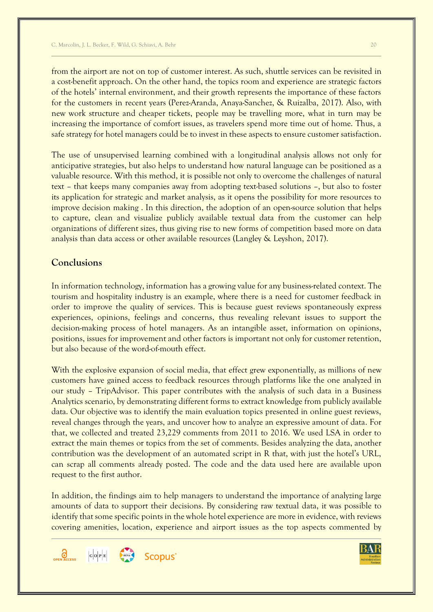from the airport are not on top of customer interest. As such, shuttle services can be revisited in a cost-benefit approach. On the other hand, the topics room and experience are strategic factors of the hotels' internal environment, and their growth represents the importance of these factors for the customers in recent years (Perez-Aranda, Anaya-Sanchez, & Ruizalba, 2017). Also, with new work structure and cheaper tickets, people may be travelling more, what in turn may be increasing the importance of comfort issues, as travelers spend more time out of home. Thus, a safe strategy for hotel managers could be to invest in these aspects to ensure customer satisfaction.

The use of unsupervised learning combined with a longitudinal analysis allows not only for anticipative strategies, but also helps to understand how natural language can be positioned as a valuable resource. With this method, it is possible not only to overcome the challenges of natural text – that keeps many companies away from adopting text-based solutions –, but also to foster its application for strategic and market analysis, as it opens the possibility for more resources to improve decision making . In this direction, the adoption of an open-source solution that helps to capture, clean and visualize publicly available textual data from the customer can help organizations of different sizes, thus giving rise to new forms of competition based more on data analysis than data access or other available resources (Langley & Leyshon, 2017).

# **Conclusions**

In information technology, information has a growing value for any business-related context. The tourism and hospitality industry is an example, where there is a need for customer feedback in order to improve the quality of services. This is because guest reviews spontaneously express experiences, opinions, feelings and concerns, thus revealing relevant issues to support the decision-making process of hotel managers. As an intangible asset, information on opinions, positions, issues for improvement and other factors is important not only for customer retention, but also because of the word-of-mouth effect.

With the explosive expansion of social media, that effect grew exponentially, as millions of new customers have gained access to feedback resources through platforms like the one analyzed in our study – TripAdvisor. This paper contributes with the analysis of such data in a Business Analytics scenario, by demonstrating different forms to extract knowledge from publicly available data. Our objective was to identify the main evaluation topics presented in online guest reviews, reveal changes through the years, and uncover how to analyze an expressive amount of data. For that, we collected and treated 23,229 comments from 2011 to 2016. We used LSA in order to extract the main themes or topics from the set of comments. Besides analyzing the data, another contribution was the development of an automated script in R that, with just the hotel's URL, can scrap all comments already posted. The code and the data used here are available upon request to the first author.

In addition, the findings aim to help managers to understand the importance of analyzing large amounts of data to support their decisions. By considering raw textual data, it was possible to identify that some specific points in the whole hotel experience are more in evidence, with reviews covering amenities, location, experience and airport issues as the top aspects commented by



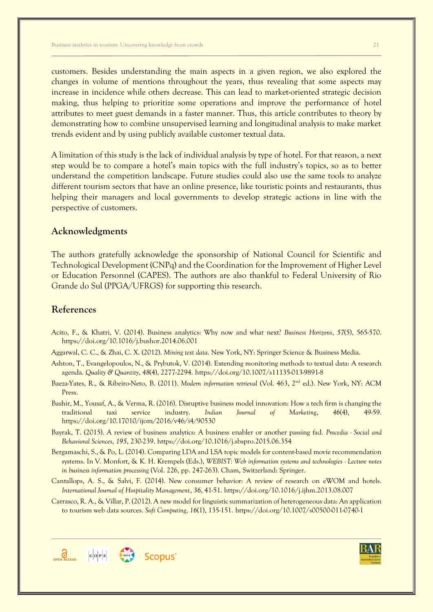customers. Besides understanding the main aspects in a given region, we also explored the changes in volume of mentions throughout the years, thus revealing that some aspects may increase in incidence while others decrease. This can lead to market-oriented strategic decision making, thus helping to prioritize some operations and improve the performance of hotel attributes to meet guest demands in a faster manner. Thus, this article contributes to theory by demonstrating how to combine unsupervised learning and longitudinal analysis to make market trends evident and by using publicly available customer textual data.

A limitation of this study is the lack of individual analysis by type of hotel. For that reason, a next step would be to compare a hotel's main topics with the full industry's topics, so as to better understand the competition landscape. Future studies could also use the same tools to analyze different tourism sectors that have an online presence, like touristic points and restaurants, thus helping their managers and local governments to develop strategic actions in line with the perspective of customers.

### **Acknowledgments**

The authors gratefully acknowledge the sponsorship of National Council for Scientific and Technological Development (CNPq) and the Coordination for the Improvement of Higher Level or Education Personnel (CAPES). The authors are also thankful to Federal University of Rio Grande do Sul (PPGA/UFRGS) for supporting this research.

# **References**

- Acito, F., & Khatri, V. (2014). Business analytics: Why now and what next? *Business Horizons*, *57*(5), 565-570. https://doi.org/10.1016/j.bushor.2014.06.001
- Aggarwal, C. C., & Zhai, C. X. (2012). *Mining text data*. New York, NY: Springer Science & Business Media.
- Ashton, T., Evangelopoulos, N., & Prybutok, V. (2014). Extending monitoring methods to textual data: A research agenda. *Quality & Quantity*, *48*(4), 2277-2294. https://doi.org/10.1007/s11135-013-9891-8
- Baeza-Yates, R., & Ribeiro-Neto, B. (2011). *Modern information retrieval* (Vol. 463, 2nd ed.). New York, NY: ACM Press.
- Bashir, M., Yousaf, A., & Verma, R. (2016). Disruptive business model innovation: How a tech firm is changing the traditional taxi service industry. *Indian Journal of Marketing*, *46*(4), 49-59. https://doi.org/10.17010/ijom/2016/v46/i4/90530
- Bayrak, T. (2015). A review of business analytics: A business enabler or another passing fad. *Procedia - Social and Behavioral Sciences*, *195*, 230-239. https://doi.org/10.1016/j.sbspro.2015.06.354
- Bergamaschi, S., & Po, L. (2014). Comparing LDA and LSA topic models for content-based movie recommendation systems. In V. Monfort, & K. H. Krempels (Eds.), *WEBIST: Web information systems and technologies - Lecture notes in business information processing* (Vol. 226, pp. 247-263). Cham, Switzerland: Springer.
- Cantallops, A. S., & Salvi, F. (2014). New consumer behavior: A review of research on eWOM and hotels. *International Journal of Hospitality Management*, *36*, 41-51. https://doi.org/10.1016/j.ijhm.2013.08.007
- Carrasco, R. A., & Villar, P. (2012). A new model for linguistic summarization of heterogeneous data: An application to tourism web data sources. *Soft Computing*, *16*(1), 135-151. https://doi.org/10.1007/s00500-011-0740-1



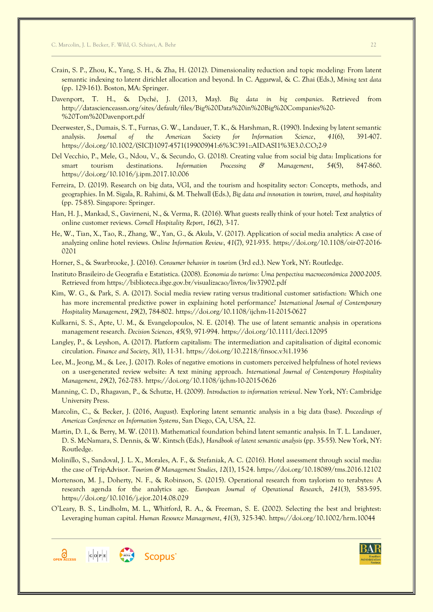- Crain, S. P., Zhou, K., Yang, S. H., & Zha, H. (2012). Dimensionality reduction and topic modeling: From latent semantic indexing to latent dirichlet allocation and beyond. In C. Aggarwal, & C. Zhai (Eds.), *Mining text data* (pp. 129-161). Boston, MA: Springer.
- Davenport, T. H., & Dyché, J. (2013, May). *Big data in big companies*. Retrieved from http://datascienceassn.org/sites/default/files/Big%20Data%20in%20Big%20Companies%20- %20Tom%20Davenport.pdf
- Deerwester, S., Dumais, S. T., Furnas, G. W., Landauer, T. K., & Harshman, R. (1990). Indexing by latent semantic analysis. *Journal of the American Society for Information Science*, *41*(6), 391-407. https://doi.org/10.1002/(SICI)1097-4571(199009)41:6%3C391::AID-ASI1%3E3.0.CO;2-9
- Del Vecchio, P., Mele, G., Ndou, V., & Secundo, G. (2018). Creating value from social big data: Implications for smart tourism destinations. *Information Processing & Management*, *54*(5), 847-860. https://doi.org/10.1016/j.ipm.2017.10.006
- Ferreira, D. (2019). Research on big data, VGI, and the tourism and hospitality sector: Concepts, methods, and geographies. In M. Sigala, R. Rahimi, & M. Thelwall (Eds.), *Big data and innovation in tourism, travel, and hospitality*  (pp. 75-85). Singapore: Springer.
- Han, H. J., Mankad, S., Gavirneni, N., & Verma, R. (2016). What guests really think of your hotel: Text analytics of online customer reviews. *Cornell Hospitality Report*, *16*(2), 3-17.
- He, W., Tian, X., Tao, R., Zhang, W., Yan, G., & Akula, V. (2017). Application of social media analytics: A case of analyzing online hotel reviews. *Online Information Review*, *41*(7), 921-935. https://doi.org/10.1108/oir-07-2016- 0201
- Horner, S., & Swarbrooke, J. (2016). *Consumer behavior in tourism* (3rd ed.). New York, NY: Routledge.
- Instituto Brasileiro de Geografia e Estatística. (2008). *Economia do turismo: Uma perspectiva macroeconômica 2000-2005*. Retrieved from https://biblioteca.ibge.gov.br/visualizacao/livros/liv37902.pdf
- Kim, W. G., & Park, S. A. (2017). Social media review rating versus traditional customer satisfaction: Which one has more incremental predictive power in explaining hotel performance? *International Journal of Contemporary Hospitality Management*, *29*(2), 784-802. https://doi.org/10.1108/ijchm-11-2015-0627
- Kulkarni, S. S., Apte, U. M., & Evangelopoulos, N. E. (2014). The use of latent semantic analysis in operations management research. *Decision Sciences*, *45*(5), 971-994. https://doi.org/10.1111/deci.12095
- Langley, P., & Leyshon, A. (2017). Platform capitalism: The intermediation and capitalisation of digital economic circulation. *Finance and Society*, *3*(1), 11-31. https://doi.org/10.2218/finsoc.v3i1.1936
- Lee, M., Jeong, M., & Lee, J. (2017). Roles of negative emotions in customers perceived helpfulness of hotel reviews on a user-generated review website: A text mining approach. *International Journal of Contemporary Hospitality Management*, *29*(2), 762-783. https://doi.org/10.1108/ijchm-10-2015-0626
- Manning, C. D., Rhagavan, P., & Schutze, H. (2009). *Introduction to information retrieval*. New York, NY: Cambridge University Press.
- Marcolin, C., & Becker, J. (2016, August). Exploring latent semantic analysis in a big data (base). *Proceedings of Americas Conference on Information Systems*, San Diego, CA, USA, 22.
- Martin, D. I., & Berry, M. W. (2011). Mathematical foundation behind latent semantic analysis. In T. L. Landauer, D. S. McNamara, S. Dennis, & W. Kintsch (Eds.), *Handbook of latent semantic analysis* (pp. 35-55). New York, NY: Routledge.
- Molinillo, S., Sandoval, J. L. X., Morales, A. F., & Stefaniak, A. C. (2016). Hotel assessment through social media: the case of TripAdvisor. *Tourism & Management Studies*, *12*(1), 15-24. https://doi.org/10.18089/tms.2016.12102
- Mortenson, M. J., Doherty, N. F., & Robinson, S. (2015). Operational research from taylorism to terabytes: A research agenda for the analytics age. *European Journal of Operational Research*, *241*(3), 583-595. https://doi.org/10.1016/j.ejor.2014.08.029
- O'Leary, B. S., Lindholm, M. L., Whitford, R. A., & Freeman, S. E. (2002). Selecting the best and brightest: Leveraging human capital. *Human Resource Management*, *41*(3), 325-340. https://doi.org/10.1002/hrm.10044



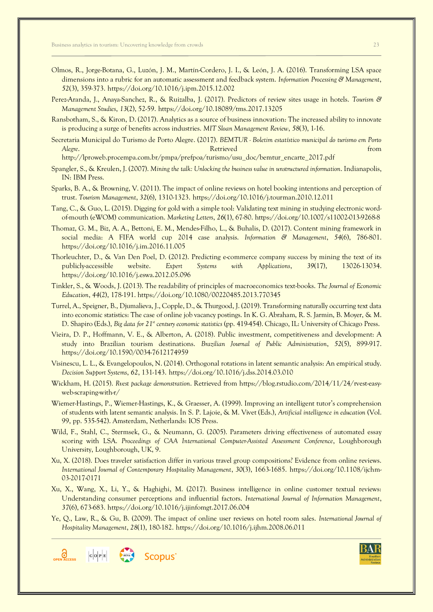- Olmos, R., Jorge-Botana, G., Luzón, J. M., Martín-Cordero, J. I., & León, J. A. (2016). Transforming LSA space dimensions into a rubric for an automatic assessment and feedback system. *Information Processing & Management*, *52*(3), 359-373. https://doi.org/10.1016/j.ipm.2015.12.002
- Perez-Aranda, J., Anaya-Sanchez, R., & Ruizalba, J. (2017). Predictors of review sites usage in hotels. *Tourism & Management Studies*, *13*(2), 52-59. https://doi.org/10.18089/tms.2017.13205
- Ransbotham, S., & Kiron, D. (2017). Analytics as a source of business innovation: The increased ability to innovate is producing a surge of benefits across industries. *MIT Sloan Management Review*, *58*(3), 1-16.
- Secretaria Municipal do Turismo de Porto Alegre. (2017). *BEMTUR - Boletim estatístico municipal do turismo em Porto Alegre***.** From the control of the control of the control of the control of the control of the control of the control of the control of the control of the control of the control of the control of the control of the contro
	- http://lproweb.procempa.com.br/pmpa/prefpoa/turismo/usu\_doc/bemtur\_encarte\_2017.pdf
- Spangler, S., & Kreulen, J. (2007). *Mining the talk: Unlocking the business value in unstructured information*. Indianapolis, IN: IBM Press.
- Sparks, B. A., & Browning, V. (2011). The impact of online reviews on hotel booking intentions and perception of trust. *Tourism Management*, *32*(6), 1310-1323. https://doi.org/10.1016/j.tourman.2010.12.011
- Tang, C., & Guo, L. (2015). Digging for gold with a simple tool: Validating text mining in studying electronic wordof-mouth (eWOM) communication. *Marketing Letters*, *26*(1), 67-80. https://doi.org/10.1007/s11002-013-9268-8
- Thomaz, G. M., Biz, A. A., Bettoni, E. M., Mendes-Filho, L., & Buhalis, D. (2017). Content mining framework in social media: A FIFA world cup 2014 case analysis. *Information & Management*, *54*(6), 786-801. https://doi.org/10.1016/j.im.2016.11.005
- Thorleuchter, D., & Van Den Poel, D. (2012). Predicting e-commerce company success by mining the text of its publicly-accessible website. *Expert Systems with Applications*, *39*(17), 13026-13034. https://doi.org/10.1016/j.eswa.2012.05.096
- Tinkler, S., & Woods, J. (2013). The readability of principles of macroeconomics text-books. *The Journal of Economic Education*, *44*(2), 178-191. https://doi.org/10.1080/00220485.2013.770345
- Turrel, A., Speigner, B., Djumalieva, J., Copple, D., & Thurgood, J. (2019). Transforming naturally occurring text data into economic statistics: The case of online job vacancy postings. In K. G. Abraham, R. S. Jarmin, B. Moyer, & M. D. Shapiro (Eds.), *Big data for 21st century economic statistics* (pp. 419-454). Chicago, IL: University of Chicago Press.
- Vieira, D. P., Hoffmann, V. E., & Alberton, A. (2018). Public investment, competitiveness and development: A study into Brazilian tourism destinations. *Brazilian Journal of Public Administration*, *52*(5), 899-917. https://doi.org/10.1590/0034-7612174959
- Visinescu, L. L., & Evangelopoulos, N. (2014). Orthogonal rotations in latent semantic analysis: An empirical study. *Decision Support Systems*, *62*, 131-143. https://doi.org/10.1016/j.dss.2014.03.010
- Wickham, H. (2015). *Rvest package demonstration*. Retrieved from https://blog.rstudio.com/2014/11/24/rvest-easyweb-scraping-with-r/
- Wiemer-Hastings, P., Wiemer-Hastings, K., & Graesser, A. (1999). Improving an intelligent tutor's comprehension of students with latent semantic analysis. In S. P. Lajoie, & M. Vivet (Eds.), *Artificial intelligence in education* (Vol. 99, pp. 535-542). Amsterdam, Netherlands: IOS Press.
- Wild, F., Stahl, C., Stermsek, G., & Neumann, G. (2005). Parameters driving effectiveness of automated essay scoring with LSA. *Proceedings of CAA International Computer-Assisted Assessment Conference*, Loughborough University, Loughborough, UK, 9.
- Xu, X. (2018). Does traveler satisfaction differ in various travel group compositions? Evidence from online reviews. *International Journal of Contemporary Hospitality Management*, *30*(3), 1663-1685. https://doi.org/10.1108/ijchm-03-2017-0171
- Xu, X., Wang, X., Li, Y., & Haghighi, M. (2017). Business intelligence in online customer textual reviews: Understanding consumer perceptions and influential factors. *International Journal of Information Management*, *37*(6), 673-683. https://doi.org/10.1016/j.ijinfomgt.2017.06.004
- Ye, Q., Law, R., & Gu, B. (2009). The impact of online user reviews on hotel room sales. *International Journal of Hospitality Management*, *28*(1), 180-182. https://doi.org/10.1016/j.ijhm.2008.06.011

**Scopus** 

 $\left| c \right| \circ \left| e \right|$